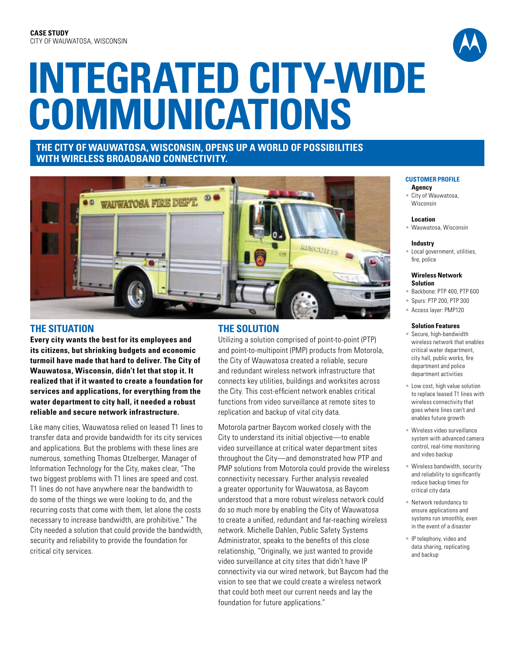

# **Integrated City-Wide Communications**

# **The City of Wauwatosa, Wisconsin, Opens up a World of Possibilities with Wireless Broadband Connectivity.**



## **THE SITUATION**

**Every city wants the best for its employees and its citizens, but shrinking budgets and economic turmoil have made that hard to deliver. The City of Wauwatosa, Wisconsin, didn't let that stop it. It realized that if it wanted to create a foundation for services and applications, for everything from the water department to city hall, it needed a robust reliable and secure network infrastructure.**

Like many cities, Wauwatosa relied on leased T1 lines to transfer data and provide bandwidth for its city services and applications. But the problems with these lines are numerous, something Thomas Otzelberger, Manager of Information Technology for the City, makes clear, "The two biggest problems with T1 lines are speed and cost. T1 lines do not have anywhere near the bandwidth to do some of the things we were looking to do, and the recurring costs that come with them, let alone the costs necessary to increase bandwidth, are prohibitive." The City needed a solution that could provide the bandwidth, security and reliability to provide the foundation for critical city services.

# **The SOLUTION**

Utilizing a solution comprised of point-to-point (PTP) and point-to-multipoint (PMP) products from Motorola, the City of Wauwatosa created a reliable, secure and redundant wireless network infrastructure that connects key utilities, buildings and worksites across the City. This cost-efficient network enables critical functions from video surveillance at remote sites to replication and backup of vital city data.

Motorola partner Baycom worked closely with the City to understand its initial objective—to enable video surveillance at critical water department sites throughout the City—and demonstrated how PTP and PMP solutions from Motorola could provide the wireless connectivity necessary. Further analysis revealed a greater opportunity for Wauwatosa, as Baycom understood that a more robust wireless network could do so much more by enabling the City of Wauwatosa to create a unified, redundant and far-reaching wireless network. Michelle Dahlen, Public Safety Systems Administrator, speaks to the benefits of this close relationship, "Originally, we just wanted to provide video surveillance at city sites that didn't have IP connectivity via our wired network, but Baycom had the vision to see that we could create a wireless network that could both meet our current needs and lay the foundation for future applications."

#### **CUSTOMER PROFILE**

**Agency**

City of Wauwatosa, Wisconsin

#### **Location**

• Wauwatosa, Wisconsin

#### **Industry**

• Local government, utilities, fire, police

#### **Wireless Network Solution**

- Backbone: PTP 400, PTP 600
- Spurs: PTP 200, PTP 300
- Access layer: PMP120

#### **Solution Features**

- Secure, high-bandwidth wireless network that enables critical water department, city hall, public works, fire department and police department activities
- Low cost, high value solution to replace leased T1 lines with wireless connectivity that goes where lines can't and enables future growth
- Wireless video surveillance system with advanced camera control, real-time monitoring and video backup
- Wireless bandwidth, security and reliability to significantly reduce backup times for critical city data
- Network redundancy to ensure applications and systems run smoothly, even in the event of a disaster
- IP telephony, video and data sharing, replicating and backup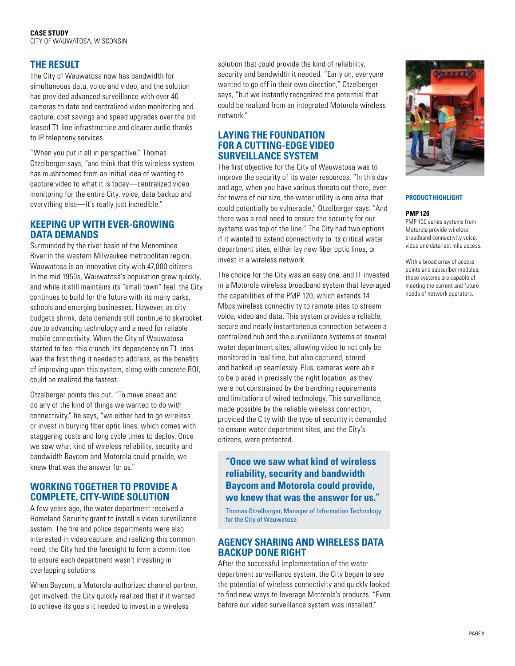# **The RESULT**

The City of Wauwatosa now has bandwidth for simultaneous data, voice and video, and the solution has provided advanced surveillance with over 40 cameras to date and centralized video monitoring and capture, cost savings and speed upgrades over the old leased T1 line infrastructure and clearer audio thanks to IP telephony services.

"When you put it all in perspective," Thomas Otzelberger says, "and think that this wireless system has mushroomed from an initial idea of wanting to capture video to what it is today—centralized video monitoring for the entire City, voice, data backup and everything else—it's really just incredible."

## **Keeping up with ever-growing data demands**

Surrounded by the river basin of the Menominee River in the western Milwaukee metropolitan region, Wauwatosa is an innovative city with 47,000 citizens. In the mid 1950s, Wauwatosa's population grew quickly, and while it still maintains its "small town" feel, the City continues to build for the future with its many parks, schools and emerging businesses. However, as city budgets shrink, data demands still continue to skyrocket due to advancing technology and a need for reliable mobile connectivity. When the City of Wauwatosa started to feel this crunch, its dependency on T1 lines was the first thing it needed to address, as the benefits of improving upon this system, along with concrete ROI, could be realized the fastest.

Otzelberger points this out, "To move ahead and do any of the kind of things we wanted to do with connectivity," he says, "we either had to go wireless or invest in burying fiber optic lines, which comes with staggering costs and long cycle times to deploy. Once we saw what kind of wireless reliability, security and bandwidth Baycom and Motorola could provide, we knew that was the answer for us."

## **Working together to provide a complete, city-wide solution**

A few years ago, the water department received a Homeland Security grant to install a video surveillance system. The fire and police departments were also interested in video capture, and realizing this common need, the City had the foresight to form a committee to ensure each department wasn't investing in overlapping solutions.

When Baycom, a Motorola-authorized channel partner, got involved, the City quickly realized that if it wanted to achieve its goals it needed to invest in a wireless

solution that could provide the kind of reliability, security and bandwidth it needed. "Early on, everyone wanted to go off in their own direction," Otzelberger says, "but we instantly recognized the potential that could be realized from an integrated Motorola wireless network."

## **Laying the foundation for a cutting-edge video surveillance system**

The first objective for the City of Wauwatosa was to improve the security of its water resources. "In this day and age, when you have various threats out there, even for towns of our size, the water utility is one area that could potentially be vulnerable," Otzelberger says. "And there was a real need to ensure the security for our systems was top of the line." The City had two options if it wanted to extend connectivity to its critical water department sites, either lay new fiber optic lines, or invest in a wireless network.

The choice for the City was an easy one, and IT invested in a Motorola wireless broadband system that leveraged the capabilities of the PMP 120, which extends 14 Mbps wireless connectivity to remote sites to stream voice, video and data. This system provides a reliable, secure and nearly instantaneous connection between a centralized hub and the surveillance systems at several water department sites, allowing video to not only be monitored in real time, but also captured, stored and backed up seamlessly. Plus, cameras were able to be placed in precisely the right location, as they were not constrained by the trenching requirements and limitations of wired technology. This surveillance, made possible by the reliable wireless connection, provided the City with the type of security it demanded to ensure water department sites, and the City's citizens, were protected.

# **"Once we saw what kind of wireless reliability, security and bandwidth Baycom and Motorola could provide, we knew that was the answer for us."**

Thomas Otzelberger, Manager of Information Technology for the City of Wauwatosa

## **Agency sharing and wireless data backup done right**

After the successful implementation of the water department surveillance system, the City began to see the potential of wireless connectivity and quickly looked to find new ways to leverage Motorola's products. "Even before our video surveillance system was installed,"



### **PRODUCT HIGHLIGHT**

#### **PMP 120**

PMP 100 series systems from Motorola provide wireless broadband connectivity voice, video and data last mile access.

With a broad array of access points and subscriber modules, these systems are capable of meeting the current and future needs of network operators.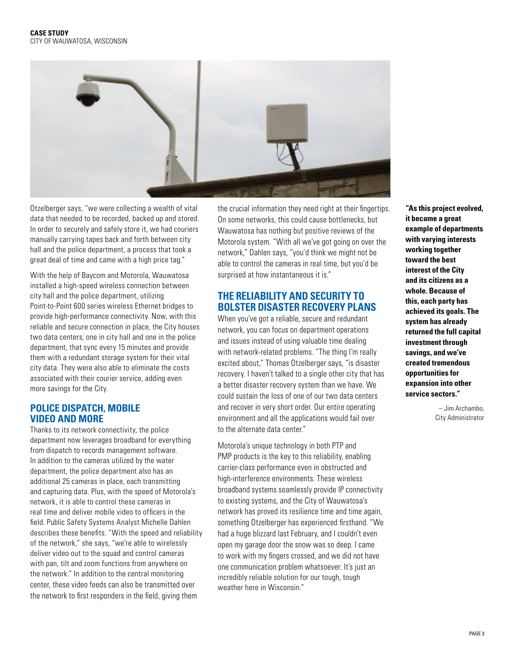

Otzelberger says, "we were collecting a wealth of vital data that needed to be recorded, backed up and stored. In order to securely and safely store it, we had couriers manually carrying tapes back and forth between city hall and the police department, a process that took a great deal of time and came with a high price tag."

With the help of Baycom and Motorola, Wauwatosa installed a high-speed wireless connection between city hall and the police department, utilizing Point-to-Point 600 series wireless Ethernet bridges to provide high-performance connectivity. Now, with this reliable and secure connection in place, the City houses two data centers, one in city hall and one in the police department, that sync every 15 minutes and provide them with a redundant storage system for their vital city data. They were also able to eliminate the costs associated with their courier service, adding even more savings for the City.

## **Police dispatch, mobile video and more**

Thanks to its network connectivity, the police department now leverages broadband for everything from dispatch to records management software. In addition to the cameras utilized by the water department, the police department also has an additional 25 cameras in place, each transmitting and capturing data. Plus, with the speed of Motorola's network, it is able to control these cameras in real time and deliver mobile video to officers in the field. Public Safety Systems Analyst Michelle Dahlen describes these benefits. "With the speed and reliability of the network," she says, "we're able to wirelessly deliver video out to the squad and control cameras with pan, tilt and zoom functions from anywhere on the network." In addition to the central monitoring center, these video feeds can also be transmitted over the network to first responders in the field, giving them

the crucial information they need right at their fingertips. On some networks, this could cause bottlenecks, but Wauwatosa has nothing but positive reviews of the Motorola system. "With all we've got going on over the network," Dahlen says, "you'd think we might not be able to control the cameras in real time, but you'd be surprised at how instantaneous it is."

# **The reliability and security to bolster disaster recovery plans**

When you've got a reliable, secure and redundant network, you can focus on department operations and issues instead of using valuable time dealing with network-related problems. "The thing I'm really excited about," Thomas Otzelberger says, "is disaster recovery. I haven't talked to a single other city that has a better disaster recovery system than we have. We could sustain the loss of one of our two data centers and recover in very short order. Our entire operating environment and all the applications would fail over to the alternate data center."

Motorola's unique technology in both PTP and PMP products is the key to this reliability, enabling carrier-class performance even in obstructed and high-interference environments. These wireless broadband systems seamlessly provide IP connectivity to existing systems, and the City of Wauwatosa's network has proved its resilience time and time again, something Otzelberger has experienced firsthand. "We had a huge blizzard last February, and I couldn't even open my garage door the snow was so deep. I came to work with my fingers crossed, and we did not have one communication problem whatsoever. It's just an incredibly reliable solution for our tough, tough weather here in Wisconsin."

**"As this project evolved, it became a great example of departments with varying interests working together toward the best interest of the City and its citizens as a whole. Because of this, each party has achieved its goals. The system has already returned the full capital investment through savings, and we've created tremendous opportunities for expansion into other service sectors."**

> – Jim Archambo, City Administrator